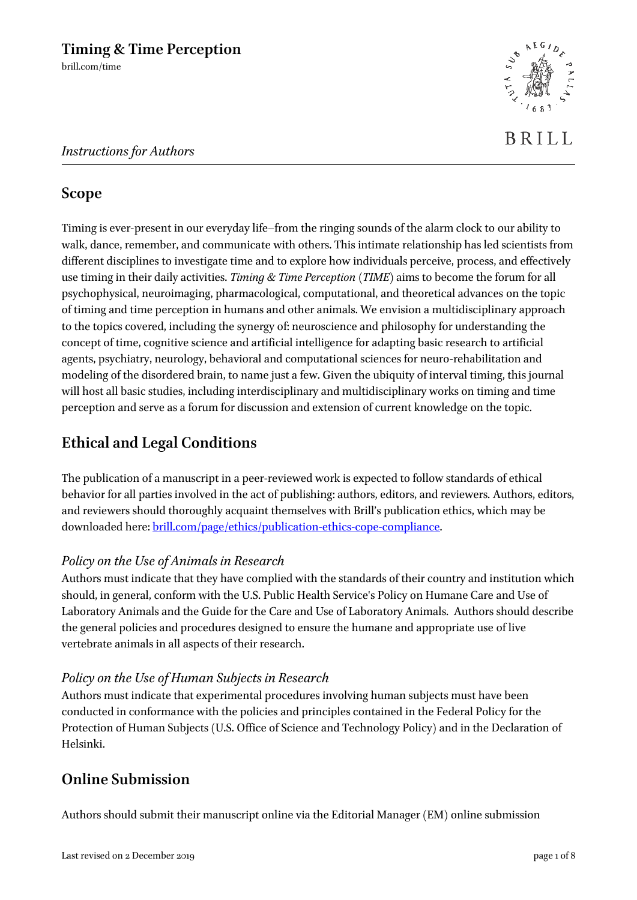

## **Scope**

Timing is ever-present in our everyday life–from the ringing sounds of the alarm clock to our ability to walk, dance, remember, and communicate with others. This intimate relationship has led scientists from different disciplines to investigate time and to explore how individuals perceive, process, and effectively use timing in their daily activities. *Timing & Time Perception* (*TIME*) aims to become the forum for all psychophysical, neuroimaging, pharmacological, computational, and theoretical advances on the topic of timing and time perception in humans and other animals. We envision a multidisciplinary approach to the topics covered, including the synergy of: neuroscience and philosophy for understanding the concept of time, cognitive science and artificial intelligence for adapting basic research to artificial agents, psychiatry, neurology, behavioral and computational sciences for neuro-rehabilitation and modeling of the disordered brain, to name just a few. Given the ubiquity of interval timing, this journal will host all basic studies, including interdisciplinary and multidisciplinary works on timing and time perception and serve as a forum for discussion and extension of current knowledge on the topic.

## **Ethical and Legal Conditions**

The publication of a manuscript in a peer-reviewed work is expected to follow standards of ethical behavior for all parties involved in the act of publishing: authors, editors, and reviewers. Authors, editors, and reviewers should thoroughly acquaint themselves with Brill's publication ethics, which may be downloaded here[: brill.com/page/ethics/publication-ethics-cope-compliance.](https://brill.com/page/ethics/publication-ethics-cope-compliance) 

### *Policy on the Use of Animals in Research*

Authors must indicate that they have complied with the standards of their country and institution which should, in general, conform with the U.S. Public Health Service's Policy on Humane Care and Use of Laboratory Animals and the Guide for the Care and Use of Laboratory Animals. Authors should describe the general policies and procedures designed to ensure the humane and appropriate use of live vertebrate animals in all aspects of their research.

### *Policy on the Use of Human Subjects in Research*

Authors must indicate that experimental procedures involving human subjects must have been conducted in conformance with the policies and principles contained in the Federal Policy for the Protection of Human Subjects (U.S. Office of Science and Technology Policy) and in the Declaration of Helsinki.

## **Online Submission**

Authors should submit their manuscript online via the Editorial Manager (EM) online submission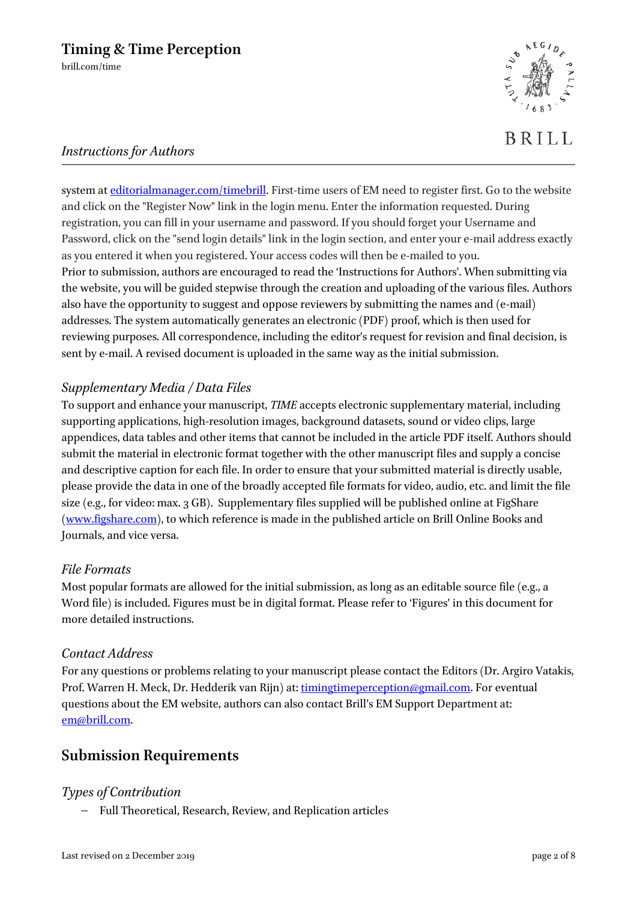**BRILL** 

### *Instructions for Authors*

system at [editorialmanager.com/timebrill.](http://www.editorialmanager.com/timebrill) First-time users of EM need to register first. Go to the website and click on the "Register Now" link in the login menu. Enter the information requested. During registration, you can fill in your username and password. If you should forget your Username and Password, click on the "send login details" link in the login section, and enter your e-mail address exactly as you entered it when you registered. Your access codes will then be e-mailed to you. Prior to submission, authors are encouraged to read the 'Instructions for Authors'. When submitting via the website, you will be guided stepwise through the creation and uploading of the various files. Authors also have the opportunity to suggest and oppose reviewers by submitting the names and (e-mail) addresses. The system automatically generates an electronic (PDF) proof, which is then used for reviewing purposes. All correspondence, including the editor's request for revision and final decision, is sent by e-mail. A revised document is uploaded in the same way as the initial submission.

### *Supplementary Media / Data Files*

To support and enhance your manuscript, *TIME* accepts electronic supplementary material, including supporting applications, high-resolution images, background datasets, sound or video clips, large appendices, data tables and other items that cannot be included in the article PDF itself. Authors should submit the material in electronic format together with the other manuscript files and supply a concise and descriptive caption for each file. In order to ensure that your submitted material is directly usable, please provide the data in one of the broadly accepted file formats for video, audio, etc. and limit the file size (e.g., for video: max. 3 GB). Supplementary files supplied will be published online at FigShare [\(www.figshare.com\)](http://www.figshare.com/), to which reference is made in the published article on Brill Online Books and Journals, and vice versa.

### *File Formats*

Most popular formats are allowed for the initial submission, as long as an editable source file (e.g., a Word file) is included. Figures must be in digital format. Please refer to 'Figures' in this document for more detailed instructions.

### *Contact Address*

For any questions or problems relating to your manuscript please contact the Editors (Dr. Argiro Vatakis, Prof. Warren H. Meck, Dr. Hedderik van Rijn) at: [timingtimeperception@gmail.com.](mailto:timingtimeperception@gmail.com) For eventual questions about the EM website, authors can also contact Brill's EM Support Department at: [em@brill.com.](mailto:em@brill.nl)

## **Submission Requirements**

### *Types of Contribution*

− Full Theoretical, Research, Review, and Replication articles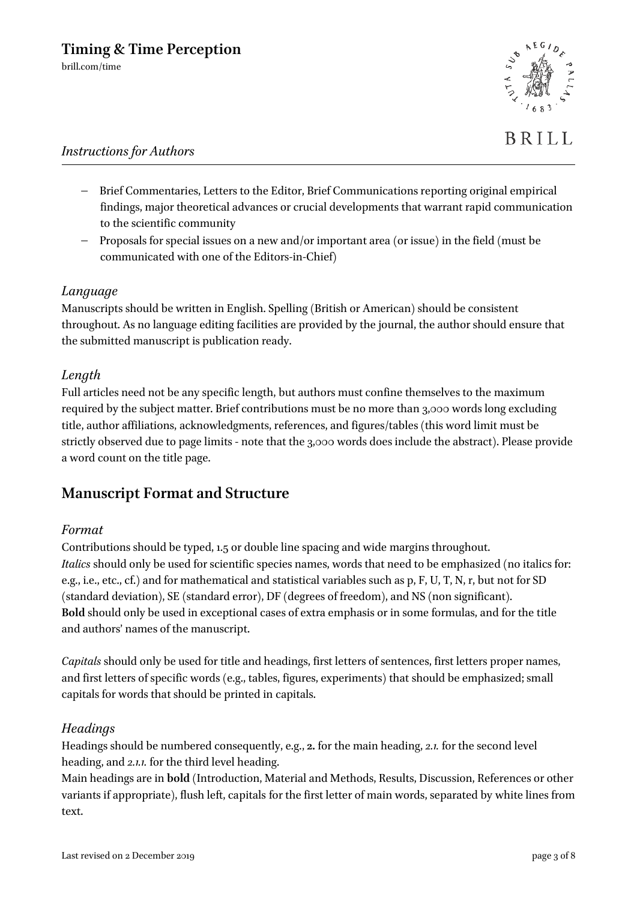

**BRILL** 

### *Instructions for Authors*

- − Brief Commentaries, Letters to the Editor, Brief Communications reporting original empirical findings, major theoretical advances or crucial developments that warrant rapid communication to the scientific community
- − Proposals for special issues on a new and/or important area (or issue) in the field (must be communicated with one of the Editors-in-Chief)

### *Language*

Manuscripts should be written in English. Spelling (British or American) should be consistent throughout. As no language editing facilities are provided by the journal, the author should ensure that the submitted manuscript is publication ready.

#### *Length*

Full articles need not be any specific length, but authors must confine themselves to the maximum required by the subject matter. Brief contributions must be no more than 3,000 words long excluding title, author affiliations, acknowledgments, references, and figures/tables (this word limit must be strictly observed due to page limits - note that the 3,000 words does include the abstract). Please provide a word count on the title page.

### **Manuscript Format and Structure**

#### *Format*

Contributions should be typed, 1.5 or double line spacing and wide margins throughout. *Italics* should only be used for scientific species names, words that need to be emphasized (no italics for: e.g., i.e., etc., cf.) and for mathematical and statistical variables such as p, F, U, T, N, r, but not for SD (standard deviation), SE (standard error), DF (degrees of freedom), and NS (non significant). **Bold** should only be used in exceptional cases of extra emphasis or in some formulas, and for the title and authors' names of the manuscript.

*Capitals* should only be used for title and headings, first letters of sentences, first letters proper names, and first letters of specific words (e.g., tables, figures, experiments) that should be emphasized; small capitals for words that should be printed in capitals.

#### *Headings*

Headings should be numbered consequently, e.g., **2.** for the main heading, *2.1.* for the second level heading, and *2.1.1.* for the third level heading.

Main headings are in **bold** (Introduction, Material and Methods, Results, Discussion, References or other variants if appropriate), flush left, capitals for the first letter of main words, separated by white lines from text.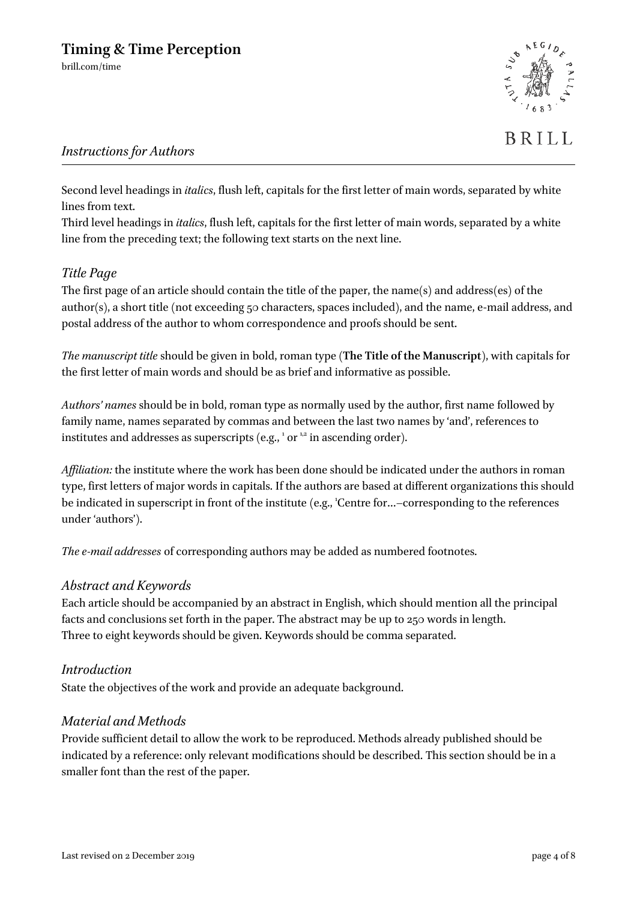

Second level headings in *italics*, flush left, capitals for the first letter of main words, separated by white lines from text.

Third level headings in *italics*, flush left, capitals for the first letter of main words, separated by a white line from the preceding text; the following text starts on the next line.

### *Title Page*

The first page of an article should contain the title of the paper, the name(s) and address(es) of the author(s), a short title (not exceeding 50 characters, spaces included), and the name, e-mail address, and postal address of the author to whom correspondence and proofs should be sent.

*The manuscript title* should be given in bold, roman type (**The Title of the Manuscript**), with capitals for the first letter of main words and should be as brief and informative as possible.

*Authors' names* should be in bold, roman type as normally used by the author, first name followed by family name, names separated by commas and between the last two names by 'and', references to institutes and addresses as superscripts (e.g.,  $^1$  or  $^{1,2}$  in ascending order).

*Affiliation:* the institute where the work has been done should be indicated under the authors in roman type, first letters of major words in capitals. If the authors are based at different organizations this should be indicated in superscript in front of the institute (e.g., 'Centre for...-corresponding to the references under 'authors').

*The e-mail addresses* of corresponding authors may be added as numbered footnotes.

### *Abstract and Keywords*

Each article should be accompanied by an abstract in English, which should mention all the principal facts and conclusions set forth in the paper. The abstract may be up to 250 words in length. Three to eight keywords should be given. Keywords should be comma separated.

### *Introduction*

State the objectives of the work and provide an adequate background.

### *Material and Methods*

Provide sufficient detail to allow the work to be reproduced. Methods already published should be indicated by a reference: only relevant modifications should be described. This section should be in a smaller font than the rest of the paper.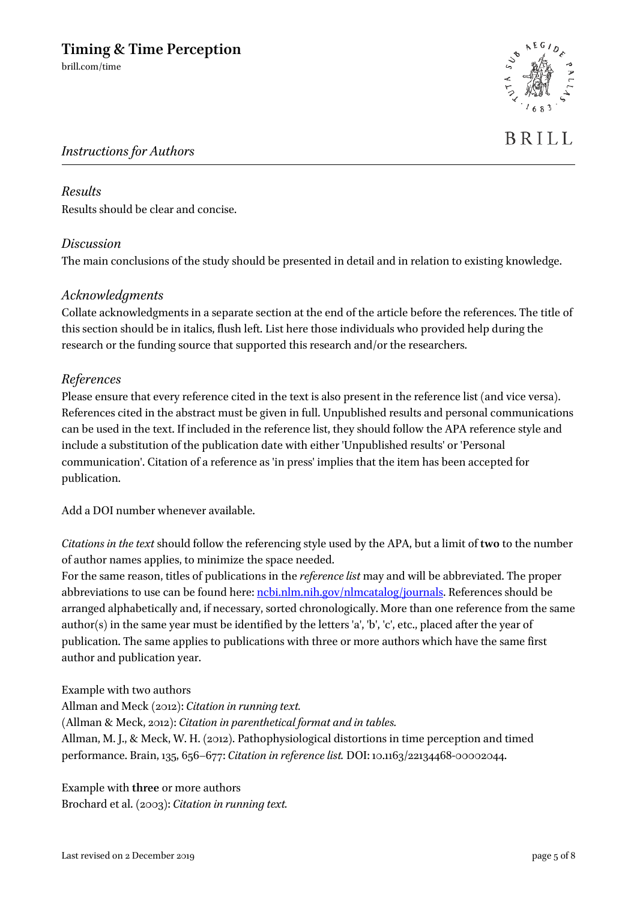brill.com/time



# **BRILL**

### *Instructions for Authors*

# *Results*

Results should be clear and concise.

### *Discussion*

The main conclusions of the study should be presented in detail and in relation to existing knowledge.

### *Acknowledgments*

Collate acknowledgments in a separate section at the end of the article before the references. The title of this section should be in italics, flush left. List here those individuals who provided help during the research or the funding source that supported this research and/or the researchers.

### *References*

Please ensure that every reference cited in the text is also present in the reference list (and vice versa). References cited in the abstract must be given in full. Unpublished results and personal communications can be used in the text. If included in the reference list, they should follow the APA reference style and include a substitution of the publication date with either 'Unpublished results' or 'Personal communication'. Citation of a reference as 'in press' implies that the item has been accepted for publication.

Add a DOI number whenever available.

*Citations in the text* should follow the referencing style used by the APA, but a limit of **two** to the number of author names applies, to minimize the space needed.

For the same reason, titles of publications in the *reference list* may and will be abbreviated. The proper abbreviations to use can be found here: [ncbi.nlm.nih.gov/nlmcatalog/journals.](http://www.ncbi.nlm.nih.gov/nlmcatalog/journals) References should be arranged alphabetically and, if necessary, sorted chronologically. More than one reference from the same author(s) in the same year must be identified by the letters 'a', 'b', 'c', etc., placed after the year of publication. The same applies to publications with three or more authors which have the same first author and publication year.

Example with two authors Allman and Meck (2012): *Citation in running text.* (Allman & Meck, 2012): *Citation in parenthetical format and in tables.* Allman, M. J., & Meck, W. H. (2012). Pathophysiological distortions in time perception and timed performance. Brain, 135, 656–677: *Citation in reference list.* DOI: 10.1163/22134468-00002044.

Example with **three** or more authors Brochard et al. (2003): *Citation in running text.*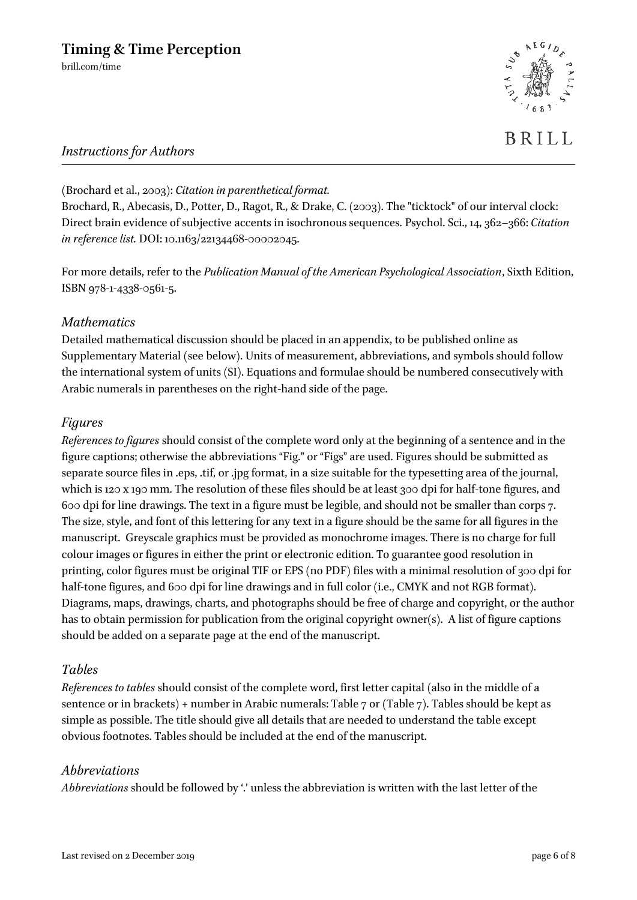brill.com/time



### *Instructions for Authors*

(Brochard et al., 2003): *Citation in parenthetical format.*

Brochard, R., Abecasis, D., Potter, D., Ragot, R., & Drake, C. (2003). The "ticktock" of our interval clock: Direct brain evidence of subjective accents in isochronous sequences. Psychol. Sci., 14, 362–366: *Citation in reference list.* DOI: 10.1163/22134468-00002045.

For more details, refer to the *Publication Manual of the American Psychological Association*, Sixth Edition, ISBN 978-1-4338-0561-5.

### *Mathematics*

Detailed mathematical discussion should be placed in an appendix, to be published online as Supplementary Material (see below). Units of measurement, abbreviations, and symbols should follow the international system of units (SI). Equations and formulae should be numbered consecutively with Arabic numerals in parentheses on the right-hand side of the page.

### *Figures*

*References to figures* should consist of the complete word only at the beginning of a sentence and in the figure captions; otherwise the abbreviations "Fig." or "Figs" are used. Figures should be submitted as separate source files in .eps, .tif, or .jpg format, in a size suitable for the typesetting area of the journal, which is 120 x 190 mm. The resolution of these files should be at least 300 dpi for half-tone figures, and 600 dpi for line drawings. The text in a figure must be legible, and should not be smaller than corps 7. The size, style, and font of this lettering for any text in a figure should be the same for all figures in the manuscript. Greyscale graphics must be provided as monochrome images. There is no charge for full colour images or figures in either the print or electronic edition. To guarantee good resolution in printing, color figures must be original TIF or EPS (no PDF) files with a minimal resolution of 300 dpi for half-tone figures, and 600 dpi for line drawings and in full color (i.e., CMYK and not RGB format). Diagrams, maps, drawings, charts, and photographs should be free of charge and copyright, or the author has to obtain permission for publication from the original copyright owner(s). A list of figure captions should be added on a separate page at the end of the manuscript.

### *Tables*

*References to tables* should consist of the complete word, first letter capital (also in the middle of a sentence or in brackets) + number in Arabic numerals: Table 7 or (Table 7). Tables should be kept as simple as possible. The title should give all details that are needed to understand the table except obvious footnotes. Tables should be included at the end of the manuscript.

### *Abbreviations*

*Abbreviations* should be followed by '.' unless the abbreviation is written with the last letter of the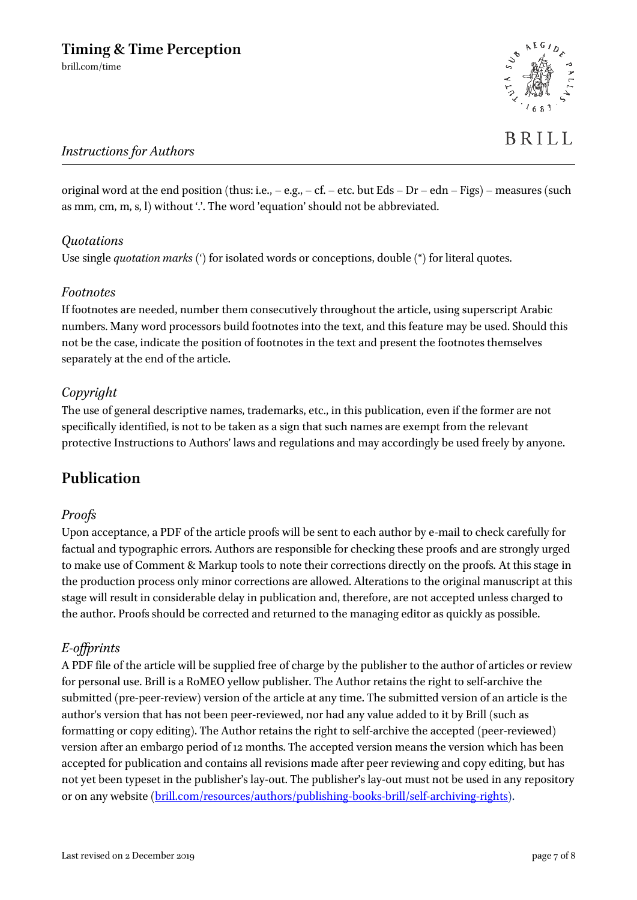

original word at the end position (thus: i.e.,  $-$  e.g.,  $-$  cf.  $-$  etc. but Eds  $-$  Dr  $-$  edn  $-$  Figs)  $-$  measures (such as mm, cm, m, s, l) without  $\therefore$  The word 'equation' should not be abbreviated.

### *Quotations*

Use single *quotation marks* (') for isolated words or conceptions, double (") for literal quotes.

### *Footnotes*

If footnotes are needed, number them consecutively throughout the article, using superscript Arabic numbers. Many word processors build footnotes into the text, and this feature may be used. Should this not be the case, indicate the position of footnotes in the text and present the footnotes themselves separately at the end of the article.

### *Copyright*

The use of general descriptive names, trademarks, etc., in this publication, even if the former are not specifically identified, is not to be taken as a sign that such names are exempt from the relevant protective Instructions to Authors' laws and regulations and may accordingly be used freely by anyone.

## **Publication**

### *Proofs*

Upon acceptance, a PDF of the article proofs will be sent to each author by e-mail to check carefully for factual and typographic errors. Authors are responsible for checking these proofs and are strongly urged to make use of Comment & Markup tools to note their corrections directly on the proofs. At this stage in the production process only minor corrections are allowed. Alterations to the original manuscript at this stage will result in considerable delay in publication and, therefore, are not accepted unless charged to the author. Proofs should be corrected and returned to the managing editor as quickly as possible.

### *E-offprints*

A PDF file of the article will be supplied free of charge by the publisher to the author of articles or review for personal use. Brill is a RoMEO yellow publisher. The Author retains the right to self-archive the submitted (pre-peer-review) version of the article at any time. The submitted version of an article is the author's version that has not been peer-reviewed, nor had any value added to it by Brill (such as formatting or copy editing). The Author retains the right to self-archive the accepted (peer-reviewed) version after an embargo period of 12 months. The accepted version means the version which has been accepted for publication and contains all revisions made after peer reviewing and copy editing, but has not yet been typeset in the publisher's lay-out. The publisher's lay-out must not be used in any repository or on any website [\(brill.com/resources/authors/publishing-books-brill/self-archiving-rights\)](http://www.brill.com/resources/authors/publishing-books-brill/self-archiving-rights).